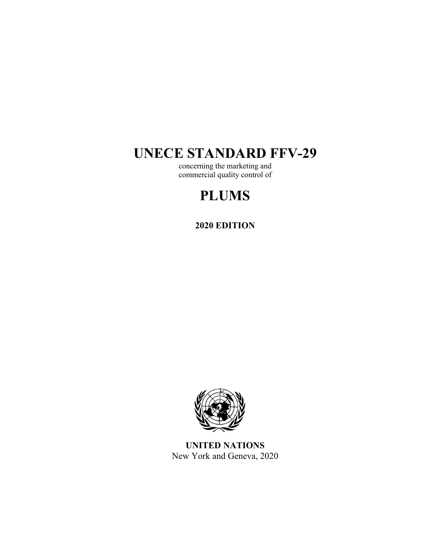# **UNECE STANDARD FFV-29**

concerning the marketing and commercial quality control of

# **PLUMS**

# **2020 EDITION**



**UNITED NATIONS**  New York and Geneva, 2020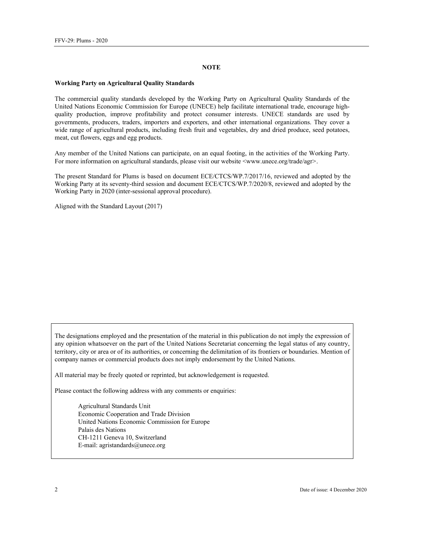### **NOTE**

### **Working Party on Agricultural Quality Standards**

The commercial quality standards developed by the Working Party on Agricultural Quality Standards of the United Nations Economic Commission for Europe (UNECE) help facilitate international trade, encourage highquality production, improve profitability and protect consumer interests. UNECE standards are used by governments, producers, traders, importers and exporters, and other international organizations. They cover a wide range of agricultural products, including fresh fruit and vegetables, dry and dried produce, seed potatoes, meat, cut flowers, eggs and egg products.

Any member of the United Nations can participate, on an equal footing, in the activities of the Working Party. For more information on agricultural standards, please visit our website <www.unece.org/trade/agr>.

The present Standard for Plums is based on document ECE/CTCS/WP.7/2017/16, reviewed and adopted by the Working Party at its seventy-third session and document ECE/CTCS/WP.7/2020/8, reviewed and adopted by the Working Party in 2020 (inter-sessional approval procedure).

Aligned with the Standard Layout (2017)

The designations employed and the presentation of the material in this publication do not imply the expression of any opinion whatsoever on the part of the United Nations Secretariat concerning the legal status of any country, territory, city or area or of its authorities, or concerning the delimitation of its frontiers or boundaries. Mention of company names or commercial products does not imply endorsement by the United Nations.

All material may be freely quoted or reprinted, but acknowledgement is requested.

Please contact the following address with any comments or enquiries:

Agricultural Standards Unit Economic Cooperation and Trade Division United Nations Economic Commission for Europe Palais des Nations CH-1211 Geneva 10, Switzerland E-mail: agristandards@unece.org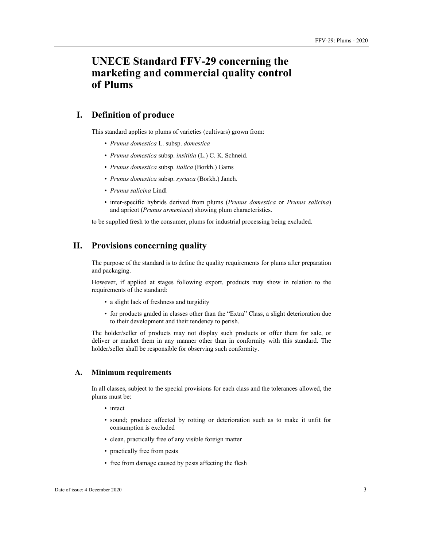# **UNECE Standard FFV-29 concerning the marketing and commercial quality control of Plums**

# **I. Definition of produce**

This standard applies to plums of varieties (cultivars) grown from:

- *Prunus domestica* L. subsp. *domestica*
- *Prunus domestica* subsp. *insititia* (L.) C. K. Schneid.
- *Prunus domestica* subsp. *italica* (Borkh.) Gams
- *Prunus domestica* subsp. *syriaca* (Borkh.) Janch.
- *Prunus salicina* Lindl
- inter-specific hybrids derived from plums (*Prunus domestica* or *Prunus salicina*) and apricot (*Prunus armeniaca*) showing plum characteristics.

to be supplied fresh to the consumer, plums for industrial processing being excluded.

# **II. Provisions concerning quality**

The purpose of the standard is to define the quality requirements for plums after preparation and packaging.

However, if applied at stages following export, products may show in relation to the requirements of the standard:

- a slight lack of freshness and turgidity
- for products graded in classes other than the "Extra" Class, a slight deterioration due to their development and their tendency to perish.

The holder/seller of products may not display such products or offer them for sale, or deliver or market them in any manner other than in conformity with this standard. The holder/seller shall be responsible for observing such conformity.

# **A. Minimum requirements**

In all classes, subject to the special provisions for each class and the tolerances allowed, the plums must be:

- intact
- sound; produce affected by rotting or deterioration such as to make it unfit for consumption is excluded
- clean, practically free of any visible foreign matter
- practically free from pests
- free from damage caused by pests affecting the flesh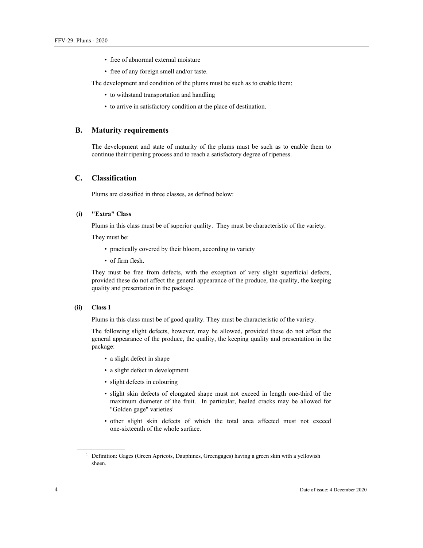- free of abnormal external moisture
- free of any foreign smell and/or taste.

The development and condition of the plums must be such as to enable them:

- to withstand transportation and handling
- to arrive in satisfactory condition at the place of destination.

# **B. Maturity requirements**

The development and state of maturity of the plums must be such as to enable them to continue their ripening process and to reach a satisfactory degree of ripeness.

## **C. Classification**

Plums are classified in three classes, as defined below:

# **(i) "Extra" Class**

Plums in this class must be of superior quality. They must be characteristic of the variety.

They must be:

- practically covered by their bloom, according to variety
- of firm flesh.

They must be free from defects, with the exception of very slight superficial defects, provided these do not affect the general appearance of the produce, the quality, the keeping quality and presentation in the package.

# **(ii) Class I**

Plums in this class must be of good quality. They must be characteristic of the variety.

The following slight defects, however, may be allowed, provided these do not affect the general appearance of the produce, the quality, the keeping quality and presentation in the package:

- a slight defect in shape
- a slight defect in development
- slight defects in colouring
- slight skin defects of elongated shape must not exceed in length one-third of the maximum diameter of the fruit. In particular, healed cracks may be allowed for "Golden gage" varieties<sup>1</sup>
- other slight skin defects of which the total area affected must not exceed one-sixteenth of the whole surface.

<sup>&</sup>lt;sup>1</sup> Definition: Gages (Green Apricots, Dauphines, Greengages) having a green skin with a yellowish sheen.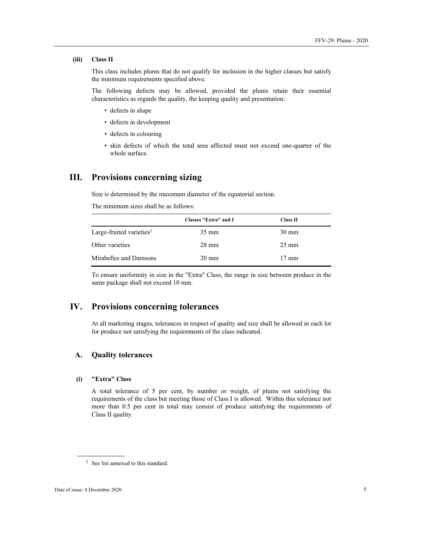#### **(iii) Class II**

This class includes plums that do not qualify for inclusion in the higher classes but satisfy the minimum requirements specified above.

The following defects may be allowed, provided the plums retain their essential characteristics as regards the quality, the keeping quality and presentation:

- defects in shape
- defects in development
- defects in colouring
- skin defects of which the total area affected must not exceed one-quarter of the whole surface.

# **III. Provisions concerning sizing**

Size is determined by the maximum diameter of the equatorial section.

The minimum sizes shall be as follows:

|                                      | Classes "Extra" and I | Class II        |  |
|--------------------------------------|-----------------------|-----------------|--|
| Large-fruited varieties <sup>2</sup> | $35 \text{ mm}$       | $30 \text{ mm}$ |  |
| Other varieties                      | $28 \text{ mm}$       | $25 \text{ mm}$ |  |
| Mirabelles and Damsons               | $20 \text{ mm}$       | $17 \text{ mm}$ |  |

To ensure uniformity in size in the "Extra" Class, the range in size between produce in the same package shall not exceed 10 mm.

# **IV. Provisions concerning tolerances**

At all marketing stages, tolerances in respect of quality and size shall be allowed in each lot for produce not satisfying the requirements of the class indicated.

# **A. Quality tolerances**

# **(i) "Extra" Class**

A total tolerance of 5 per cent, by number or weight, of plums not satisfying the requirements of the class but meeting those of Class I is allowed. Within this tolerance not more than 0.5 per cent in total may consist of produce satisfying the requirements of Class II quality.

<sup>2</sup> See list annexed to this standard.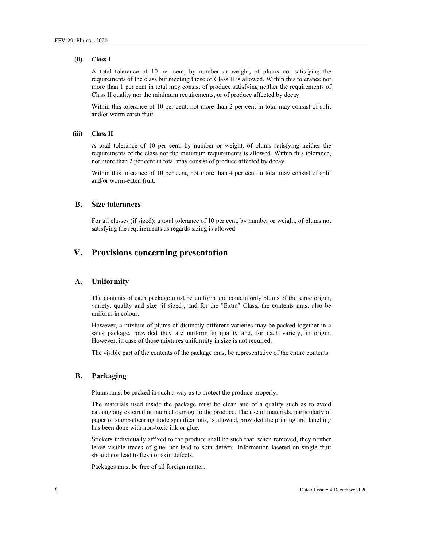#### **(ii) Class I**

A total tolerance of 10 per cent, by number or weight, of plums not satisfying the requirements of the class but meeting those of Class II is allowed. Within this tolerance not more than 1 per cent in total may consist of produce satisfying neither the requirements of Class II quality nor the minimum requirements, or of produce affected by decay.

Within this tolerance of 10 per cent, not more than 2 per cent in total may consist of split and/or worm eaten fruit.

# **(iii) Class II**

A total tolerance of 10 per cent, by number or weight, of plums satisfying neither the requirements of the class nor the minimum requirements is allowed. Within this tolerance, not more than 2 per cent in total may consist of produce affected by decay.

Within this tolerance of 10 per cent, not more than 4 per cent in total may consist of split and/or worm-eaten fruit.

## **B. Size tolerances**

For all classes (if sized): a total tolerance of 10 per cent, by number or weight, of plums not satisfying the requirements as regards sizing is allowed.

# **V. Provisions concerning presentation**

## **A. Uniformity**

The contents of each package must be uniform and contain only plums of the same origin, variety, quality and size (if sized), and for the "Extra" Class, the contents must also be uniform in colour.

However, a mixture of plums of distinctly different varieties may be packed together in a sales package, provided they are uniform in quality and, for each variety, in origin. However, in case of those mixtures uniformity in size is not required.

The visible part of the contents of the package must be representative of the entire contents.

# **B. Packaging**

Plums must be packed in such a way as to protect the produce properly.

The materials used inside the package must be clean and of a quality such as to avoid causing any external or internal damage to the produce. The use of materials, particularly of paper or stamps bearing trade specifications, is allowed, provided the printing and labelling has been done with non-toxic ink or glue.

Stickers individually affixed to the produce shall be such that, when removed, they neither leave visible traces of glue, nor lead to skin defects. Information lasered on single fruit should not lead to flesh or skin defects.

Packages must be free of all foreign matter.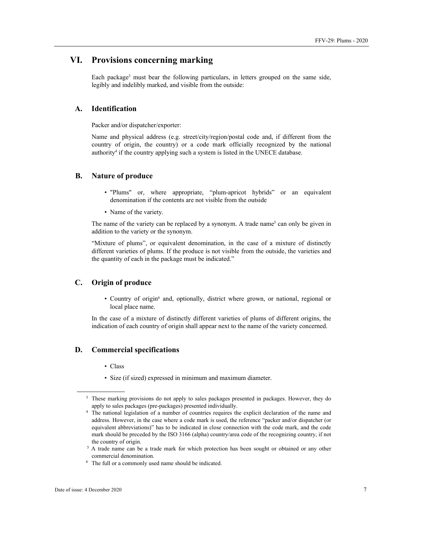# **VI. Provisions concerning marking**

Each package<sup>3</sup> must bear the following particulars, in letters grouped on the same side, legibly and indelibly marked, and visible from the outside:

# **A. Identification**

Packer and/or dispatcher/exporter:

Name and physical address (e.g. street/city/region/postal code and, if different from the country of origin, the country) or a code mark officially recognized by the national authority<sup>4</sup> if the country applying such a system is listed in the UNECE database.

# **B. Nature of produce**

- "Plums" or, where appropriate, "plum-apricot hybrids" or an equivalent denomination if the contents are not visible from the outside
- Name of the variety.

The name of the variety can be replaced by a synonym. A trade name<sup>5</sup> can only be given in addition to the variety or the synonym.

"Mixture of plums", or equivalent denomination, in the case of a mixture of distinctly different varieties of plums. If the produce is not visible from the outside, the varieties and the quantity of each in the package must be indicated."

# **C. Origin of produce**

• Country of origin<sup>6</sup> and, optionally, district where grown, or national, regional or local place name.

In the case of a mixture of distinctly different varieties of plums of different origins, the indication of each country of origin shall appear next to the name of the variety concerned.

## **D. Commercial specifications**

- Class
- Size (if sized) expressed in minimum and maximum diameter.

<sup>&</sup>lt;sup>3</sup> These marking provisions do not apply to sales packages presented in packages. However, they do apply to sales packages (pre-packages) presented individually. 4

<sup>&</sup>lt;sup>4</sup> The national legislation of a number of countries requires the explicit declaration of the name and address. However, in the case where a code mark is used, the reference "packer and/or dispatcher (or equivalent abbreviations)" has to be indicated in close connection with the code mark, and the code mark should be preceded by the ISO 3166 (alpha) country/area code of the recognizing country, if not the country of origin.

<sup>&</sup>lt;sup>5</sup> A trade name can be a trade mark for which protection has been sought or obtained or any other commercial denomination. 6 The full or a commonly used name should be indicated.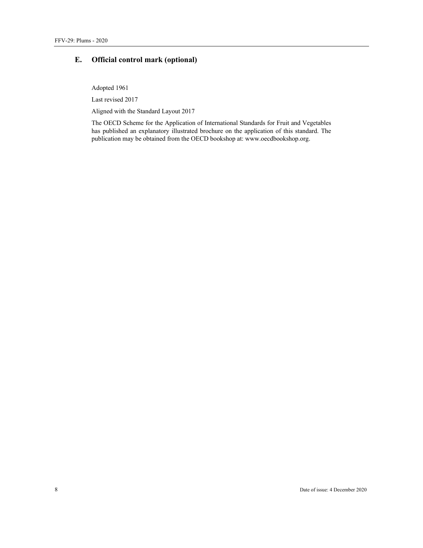# **E. Official control mark (optional)**

Adopted 1961

Last revised 2017

Aligned with the Standard Layout 2017

The OECD Scheme for the Application of International Standards for Fruit and Vegetables has published an explanatory illustrated brochure on the application of this standard. The publication may be obtained from the OECD bookshop at: www.oecdbookshop.org.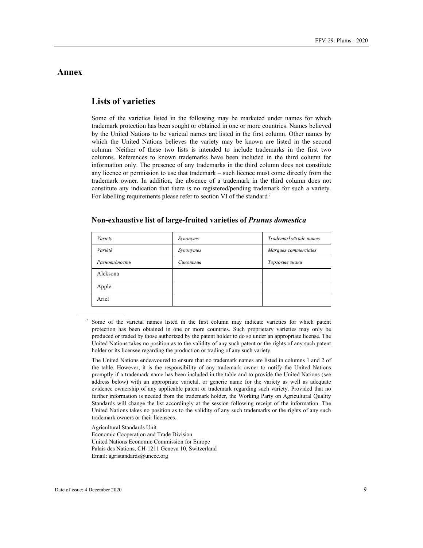# **Annex**

# **Lists of varieties**

Some of the varieties listed in the following may be marketed under names for which trademark protection has been sought or obtained in one or more countries. Names believed by the United Nations to be varietal names are listed in the first column. Other names by which the United Nations believes the variety may be known are listed in the second column. Neither of these two lists is intended to include trademarks in the first two columns. References to known trademarks have been included in the third column for information only. The presence of any trademarks in the third column does not constitute any licence or permission to use that trademark – such licence must come directly from the trademark owner. In addition, the absence of a trademark in the third column does not constitute any indication that there is no registered/pending trademark for such a variety. For labelling requirements please refer to section VI of the standard<sup>7</sup>

| Variety       | Synonyms  | Trademarks/trade names |
|---------------|-----------|------------------------|
| Variété       | Synonymes | Marques commerciales   |
| Разновидность | Синонимы  | Торговые знаки         |
| Aleksona      |           |                        |
| Apple         |           |                        |
| Ariel         |           |                        |

## **Non-exhaustive list of large-fruited varieties of** *Prunus domestica*

 The United Nations endeavoured to ensure that no trademark names are listed in columns 1 and 2 of the table. However, it is the responsibility of any trademark owner to notify the United Nations promptly if a trademark name has been included in the table and to provide the United Nations (see address below) with an appropriate varietal, or generic name for the variety as well as adequate evidence ownership of any applicable patent or trademark regarding such variety. Provided that no further information is needed from the trademark holder, the Working Party on Agricultural Quality Standards will change the list accordingly at the session following receipt of the information. The United Nations takes no position as to the validity of any such trademarks or the rights of any such trademark owners or their licensees.

 Agricultural Standards Unit Economic Cooperation and Trade Division United Nations Economic Commission for Europe Palais des Nations, CH-1211 Geneva 10, Switzerland Email: agristandards@unece.org

<sup>7</sup> Some of the varietal names listed in the first column may indicate varieties for which patent protection has been obtained in one or more countries. Such proprietary varieties may only be produced or traded by those authorized by the patent holder to do so under an appropriate license. The United Nations takes no position as to the validity of any such patent or the rights of any such patent holder or its licensee regarding the production or trading of any such variety.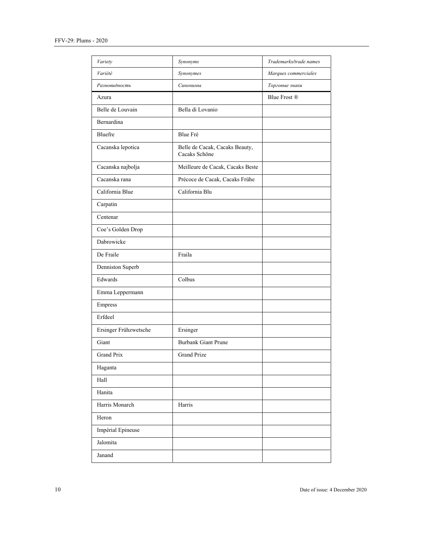| Variety               | Synonyms                                        | Trademarks/trade names |
|-----------------------|-------------------------------------------------|------------------------|
| Variété               | Synonymes                                       | Marques commerciales   |
| Разновидность         | Синонимы                                        | Торговые знаки         |
| Azura                 |                                                 | Blue Frost ®           |
| Belle de Louvain      | Bella di Lovanio                                |                        |
| Bernardina            |                                                 |                        |
| Bluefre               | <b>Blue Fré</b>                                 |                        |
| Cacanska lepotica     | Belle de Cacak, Cacaks Beauty,<br>Cacaks Schöne |                        |
| Cacanska najbolja     | Meilleure de Cacak, Cacaks Beste                |                        |
| Cacanska rana         | Précoce de Cacak, Cacaks Frühe                  |                        |
| California Blue       | California Blu                                  |                        |
| Carpatin              |                                                 |                        |
| Centenar              |                                                 |                        |
| Coe's Golden Drop     |                                                 |                        |
| Dabrowicke            |                                                 |                        |
| De Fraile             | Fraila                                          |                        |
| Denniston Superb      |                                                 |                        |
| Edwards               | Colbus                                          |                        |
| Emma Leppermann       |                                                 |                        |
| Empress               |                                                 |                        |
| Erfdeel               |                                                 |                        |
| Ersinger Frühzwetsche | Ersinger                                        |                        |
| Giant                 | <b>Burbank Giant Prune</b>                      |                        |
| <b>Grand Prix</b>     | <b>Grand Prize</b>                              |                        |
| Haganta               |                                                 |                        |
| Hall                  |                                                 |                        |
| Hanita                |                                                 |                        |
| Harris Monarch        | Harris                                          |                        |
| Heron                 |                                                 |                        |
| Impérial Epineuse     |                                                 |                        |
| Jalomita              |                                                 |                        |
| Janand                |                                                 |                        |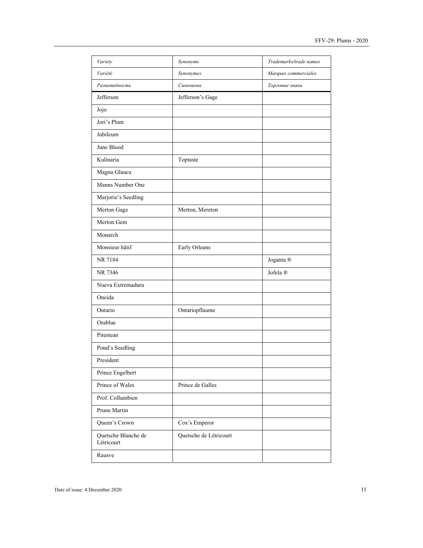| Variety                           | Synonyms               | Trademarks/trade names |
|-----------------------------------|------------------------|------------------------|
| Variété                           | Synonymes              | Marques commerciales   |
| Разновидность                     | Синонимы               | Торговые знаки         |
| Jefferson                         | Jefferson's Gage       |                        |
| Jojo                              |                        |                        |
| Jori's Plum                       |                        |                        |
| Jubileum                          |                        |                        |
| June Blood                        |                        |                        |
| Kulinaria                         | Toptaste               |                        |
| Magna Glauca                      |                        |                        |
| Manns Number One                  |                        |                        |
| Marjorie's Seedling               |                        |                        |
| Merton Gage                       | Merton, Mereton        |                        |
| Merton Gem                        |                        |                        |
| Monarch                           |                        |                        |
| Monsieur hâtif                    | Early Orleans          |                        |
| NR 7184                           |                        | Joganta ®              |
| NR 7346                           |                        | Jofela <sup>®</sup>    |
| Nueva Extremadura                 |                        |                        |
| Oneida                            |                        |                        |
| Ontario                           | Ontariopflaume         |                        |
| Orablue                           |                        |                        |
| Pitestean                         |                        |                        |
| Pond's Seedling                   |                        |                        |
| President                         |                        |                        |
| Prince Engelbert                  |                        |                        |
| Prince of Wales                   | Prince de Galles       |                        |
| Prof. Collumbien                  |                        |                        |
| Prune Martin                      |                        |                        |
| Queen's Crown                     | Cox's Emperor          |                        |
| Quetsche Blanche de<br>Létricourt | Quetsche de Létricourt |                        |
| Rausve                            |                        |                        |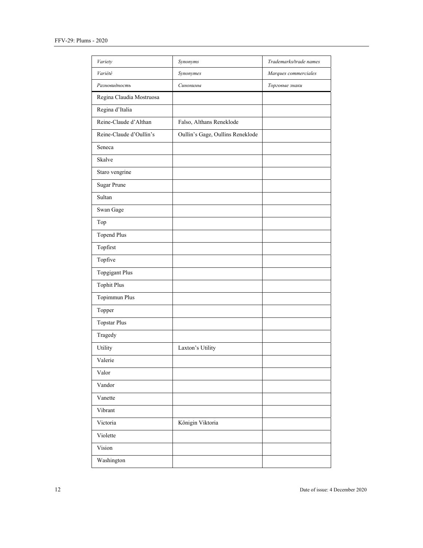| Variety                  | Synonyms                         | Trademarks/trade names |
|--------------------------|----------------------------------|------------------------|
| Variété                  | Synonymes                        | Marques commerciales   |
| Разновидность            | Синонимы                         | Торговые знаки         |
| Regina Claudia Mostruosa |                                  |                        |
| Regina d'Italia          |                                  |                        |
| Reine-Claude d'Althan    | Falso, Althans Reneklode         |                        |
| Reine-Claude d'Oullin's  | Oullin's Gage, Oullins Reneklode |                        |
| Seneca                   |                                  |                        |
| Skalve                   |                                  |                        |
| Staro vengrine           |                                  |                        |
| <b>Sugar Prune</b>       |                                  |                        |
| Sultan                   |                                  |                        |
| Swan Gage                |                                  |                        |
| Top                      |                                  |                        |
| <b>Topend Plus</b>       |                                  |                        |
| Topfirst                 |                                  |                        |
| Topfive                  |                                  |                        |
| <b>Topgigant Plus</b>    |                                  |                        |
| <b>Tophit Plus</b>       |                                  |                        |
| Topimmun Plus            |                                  |                        |
| Topper                   |                                  |                        |
| <b>Topstar Plus</b>      |                                  |                        |
| Tragedy                  |                                  |                        |
| Utility                  | Laxton's Utility                 |                        |
| Valerie                  |                                  |                        |
| Valor                    |                                  |                        |
| Vandor                   |                                  |                        |
| Vanette                  |                                  |                        |
| Vibrant                  |                                  |                        |
| Victoria                 | Königin Viktoria                 |                        |
| Violette                 |                                  |                        |
| Vision                   |                                  |                        |
| Washington               |                                  |                        |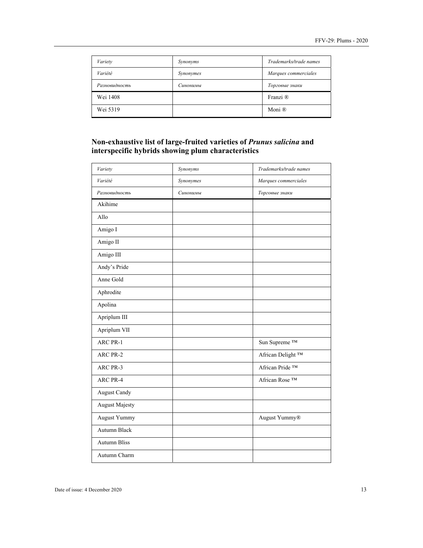| Variety       | Synonyms  | Trademarks/trade names |
|---------------|-----------|------------------------|
| Variété       | Synonymes | Marques commerciales   |
| Разновидность | Синонимы  | Торговые знаки         |
| Wei 1408      |           | Franzi ®               |
| Wei 5319      |           | Moni ®                 |

# **Non-exhaustive list of large-fruited varieties of** *Prunus salicina* **and interspecific hybrids showing plum characteristics**

| Variety               | Synonyms  | Trademarks/trade names        |
|-----------------------|-----------|-------------------------------|
| Variété               | Synonymes | Marques commerciales          |
| Разновидность         | Синонимы  | Торговые знаки                |
| Akihime               |           |                               |
| Allo                  |           |                               |
| Amigo I               |           |                               |
| Amigo II              |           |                               |
| Amigo III             |           |                               |
| Andy's Pride          |           |                               |
| Anne Gold             |           |                               |
| Aphrodite             |           |                               |
| Apolina               |           |                               |
| Apriplum III          |           |                               |
| Apriplum VII          |           |                               |
| ARC PR-1              |           | Sun Supreme <sup>TM</sup>     |
| ARC PR-2              |           | African Delight <sup>TM</sup> |
| ARC PR-3              |           | African Pride ™               |
| ARC PR-4              |           | African Rose <sup>TM</sup>    |
| <b>August Candy</b>   |           |                               |
| <b>August Majesty</b> |           |                               |
| August Yummy          |           | August Yummy®                 |
| Autumn Black          |           |                               |
| <b>Autumn Bliss</b>   |           |                               |
| Autumn Charm          |           |                               |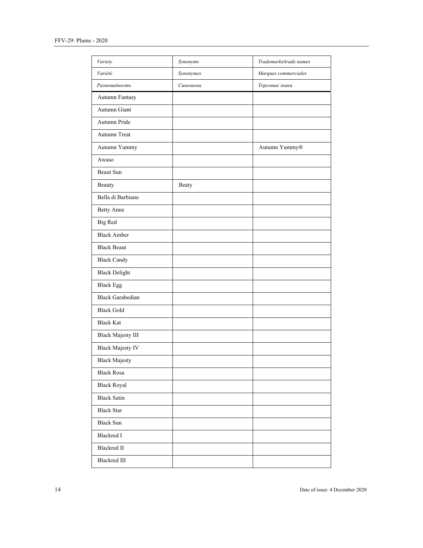| Variety                  | Synonyms  | Trademarks/trade names |
|--------------------------|-----------|------------------------|
| Variété                  | Synonymes | Marques commerciales   |
| Разновидность            | Синонимы  | Торговые знаки         |
| Autumn Fantasy           |           |                        |
| Autumn Giant             |           |                        |
| Autumn Pride             |           |                        |
| Autumn Treat             |           |                        |
| Autumn Yummy             |           | Autumn Yummy®          |
| Awaso                    |           |                        |
| Beaut Sun                |           |                        |
| Beauty                   | Beaty     |                        |
| Bella di Barbiano        |           |                        |
| Betty Anne               |           |                        |
| Big Red                  |           |                        |
| <b>Black Amber</b>       |           |                        |
| <b>Black Beaut</b>       |           |                        |
| <b>Black Candy</b>       |           |                        |
| <b>Black Delight</b>     |           |                        |
| <b>Black Egg</b>         |           |                        |
| <b>Black Garabedian</b>  |           |                        |
| <b>Black Gold</b>        |           |                        |
| <b>Black Kat</b>         |           |                        |
| <b>Black Majesty III</b> |           |                        |
| <b>Black Majesty IV</b>  |           |                        |
| <b>Black Majesty</b>     |           |                        |
| <b>Black Rosa</b>        |           |                        |
| <b>Black Royal</b>       |           |                        |
| <b>Black Satin</b>       |           |                        |
| <b>Black Star</b>        |           |                        |
| <b>Black Sun</b>         |           |                        |
| <b>Blackred I</b>        |           |                        |
| <b>Blackred II</b>       |           |                        |
| <b>Blackred III</b>      |           |                        |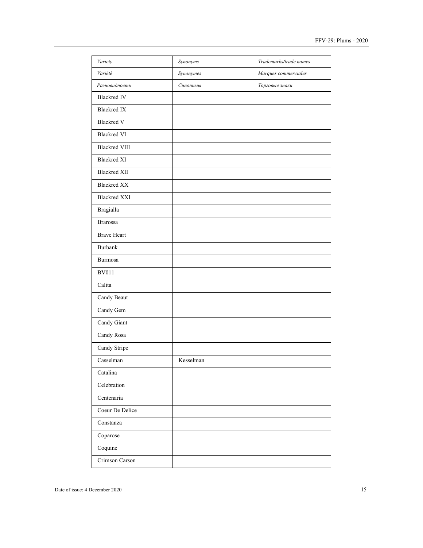| Variety              | Synonyms  | Trademarks/trade names |
|----------------------|-----------|------------------------|
| Variété              | Synonymes | Marques commerciales   |
| Разновидность        | Синонимы  | Торговые знаки         |
| <b>Blackred IV</b>   |           |                        |
| <b>Blackred IX</b>   |           |                        |
| <b>Blackred V</b>    |           |                        |
| <b>Blackred VI</b>   |           |                        |
| <b>Blackred VIII</b> |           |                        |
| <b>Blackred XI</b>   |           |                        |
| <b>Blackred XII</b>  |           |                        |
| <b>Blackred XX</b>   |           |                        |
| <b>Blackred XXI</b>  |           |                        |
| <b>Bragialla</b>     |           |                        |
| <b>Brarossa</b>      |           |                        |
| <b>Brave Heart</b>   |           |                        |
| <b>Burbank</b>       |           |                        |
| Burmosa              |           |                        |
| <b>BV011</b>         |           |                        |
| Calita               |           |                        |
| Candy Beaut          |           |                        |
| Candy Gem            |           |                        |
| Candy Giant          |           |                        |
| Candy Rosa           |           |                        |
| Candy Stripe         |           |                        |
| Casselman            | Kesselman |                        |
| Catalina             |           |                        |
| Celebration          |           |                        |
| Centenaria           |           |                        |
| Coeur De Delice      |           |                        |
| Constanza            |           |                        |
| Coparose             |           |                        |
| Coquine              |           |                        |
| Crimson Carson       |           |                        |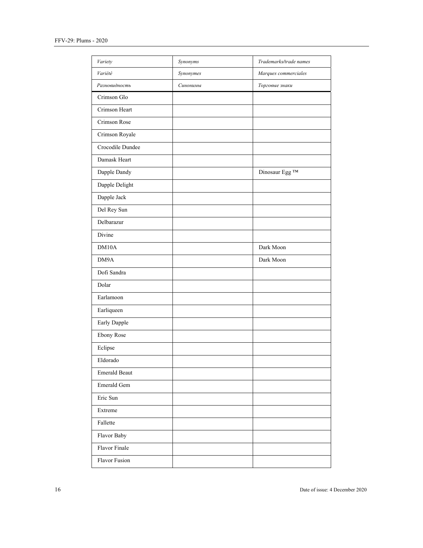| Variety              | Synonyms  | Trademarks/trade names |
|----------------------|-----------|------------------------|
| Variété              | Synonymes | Marques commerciales   |
| Разновидность        | Синонимы  | Торговые знаки         |
| Crimson Glo          |           |                        |
| Crimson Heart        |           |                        |
| Crimson Rose         |           |                        |
| Crimson Royale       |           |                        |
| Crocodile Dundee     |           |                        |
| Damask Heart         |           |                        |
| Dapple Dandy         |           | Dinosaur Egg TM        |
| Dapple Delight       |           |                        |
| Dapple Jack          |           |                        |
| Del Rey Sun          |           |                        |
| Delbarazur           |           |                        |
| Divine               |           |                        |
| DM10A                |           | Dark Moon              |
| DM9A                 |           | Dark Moon              |
| Dofi Sandra          |           |                        |
| Dolar                |           |                        |
| Earlamoon            |           |                        |
| Earliqueen           |           |                        |
| Early Dapple         |           |                        |
| <b>Ebony Rose</b>    |           |                        |
| Eclipse              |           |                        |
| Eldorado             |           |                        |
| <b>Emerald Beaut</b> |           |                        |
| Emerald Gem          |           |                        |
| Eric Sun             |           |                        |
| Extreme              |           |                        |
| Fallette             |           |                        |
| Flavor Baby          |           |                        |
| Flavor Finale        |           |                        |
| Flavor Fusion        |           |                        |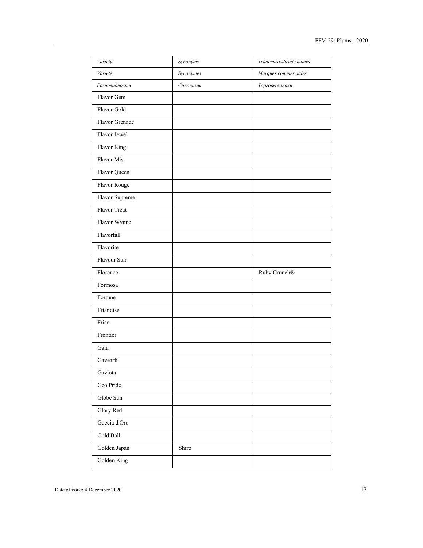| Variety        | Synonyms  | Trademarks/trade names |
|----------------|-----------|------------------------|
| Variété        | Synonymes | Marques commerciales   |
| Разновидность  | Синонимы  | Торговые знаки         |
| Flavor Gem     |           |                        |
| Flavor Gold    |           |                        |
| Flavor Grenade |           |                        |
| Flavor Jewel   |           |                        |
| Flavor King    |           |                        |
| Flavor Mist    |           |                        |
| Flavor Queen   |           |                        |
| Flavor Rouge   |           |                        |
| Flavor Supreme |           |                        |
| Flavor Treat   |           |                        |
| Flavor Wynne   |           |                        |
| Flavorfall     |           |                        |
| Flavorite      |           |                        |
| Flavour Star   |           |                        |
| Florence       |           | Ruby Crunch®           |
| Formosa        |           |                        |
| Fortune        |           |                        |
| Friandise      |           |                        |
| Friar          |           |                        |
| Frontier       |           |                        |
| Gaia           |           |                        |
| Gavearli       |           |                        |
| Gaviota        |           |                        |
| Geo Pride      |           |                        |
| Globe Sun      |           |                        |
| Glory Red      |           |                        |
| Goccia d'Oro   |           |                        |
| Gold Ball      |           |                        |
| Golden Japan   | Shiro     |                        |
| Golden King    |           |                        |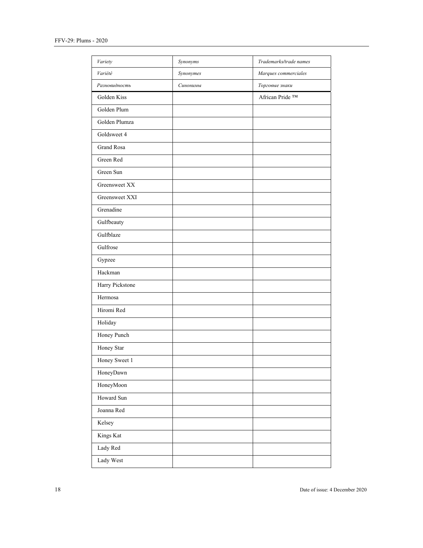| Variety           | Synonyms  | Trademarks/trade names |
|-------------------|-----------|------------------------|
| Variété           | Synonymes | Marques commerciales   |
| Разновидность     | Синонимы  | Торговые знаки         |
| Golden Kiss       |           | African Pride ™        |
| Golden Plum       |           |                        |
| Golden Plumza     |           |                        |
| Goldsweet 4       |           |                        |
| <b>Grand Rosa</b> |           |                        |
| Green Red         |           |                        |
| Green Sun         |           |                        |
| Greensweet XX     |           |                        |
| Greensweet XXI    |           |                        |
| Grenadine         |           |                        |
| Gulfbeauty        |           |                        |
| Gulfblaze         |           |                        |
| Gulfrose          |           |                        |
| Gypzee            |           |                        |
| Hackman           |           |                        |
| Harry Pickstone   |           |                        |
| Hermosa           |           |                        |
| Hiromi Red        |           |                        |
| Holiday           |           |                        |
| Honey Punch       |           |                        |
| Honey Star        |           |                        |
| Honey Sweet 1     |           |                        |
| HoneyDawn         |           |                        |
| HoneyMoon         |           |                        |
| Howard Sun        |           |                        |
| Joanna Red        |           |                        |
| Kelsey            |           |                        |
| Kings Kat         |           |                        |
| Lady Red          |           |                        |
| Lady West         |           |                        |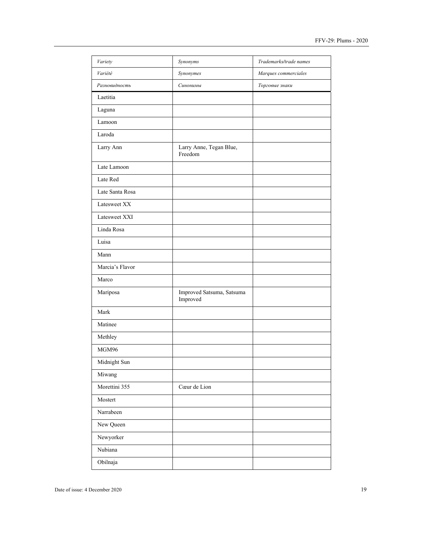| Variety         | Synonyms                              | Trademarks/trade names |
|-----------------|---------------------------------------|------------------------|
| Variété         | Synonymes                             | Marques commerciales   |
| Разновидность   | Синонимы                              | Торговые знаки         |
| Laetitia        |                                       |                        |
| Laguna          |                                       |                        |
| Lamoon          |                                       |                        |
| Laroda          |                                       |                        |
| Larry Ann       | Larry Anne, Tegan Blue,<br>Freedom    |                        |
| Late Lamoon     |                                       |                        |
| Late Red        |                                       |                        |
| Late Santa Rosa |                                       |                        |
| Latesweet XX    |                                       |                        |
| Latesweet XXI   |                                       |                        |
| Linda Rosa      |                                       |                        |
| Luisa           |                                       |                        |
| Mann            |                                       |                        |
| Marcia's Flavor |                                       |                        |
| Marco           |                                       |                        |
| Mariposa        | Improved Satsuma, Satsuma<br>Improved |                        |
| Mark            |                                       |                        |
| Matinee         |                                       |                        |
| Methley         |                                       |                        |
| MGM96           |                                       |                        |
| Midnight Sun    |                                       |                        |
| Miwang          |                                       |                        |
| Morettini 355   | Cœur de Lion                          |                        |
| Mostert         |                                       |                        |
| Narrabeen       |                                       |                        |
| New Queen       |                                       |                        |
| Newyorker       |                                       |                        |
| Nubiana         |                                       |                        |
| Obilnaja        |                                       |                        |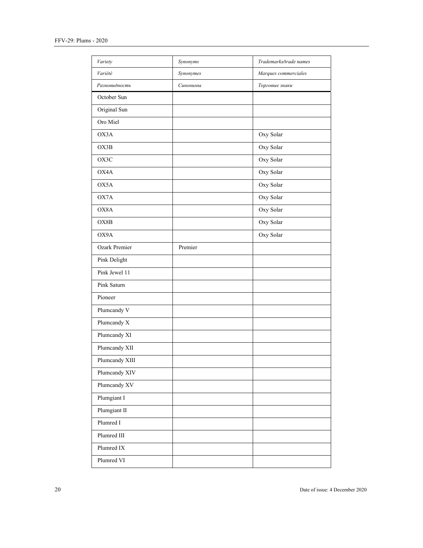| Variety        | Synonyms  | Trademarks/trade names |
|----------------|-----------|------------------------|
| Variété        | Synonymes | Marques commerciales   |
| Разновидность  | Синонимы  | Торговые знаки         |
| October Sun    |           |                        |
| Original Sun   |           |                        |
| Oro Miel       |           |                        |
| OX3A           |           | Oxy Solar              |
| OX3B           |           | Oxy Solar              |
| OX3C           |           | Oxy Solar              |
| OX4A           |           | Oxy Solar              |
| OX5A           |           | Oxy Solar              |
| OX7A           |           | Oxy Solar              |
| OX8A           |           | Oxy Solar              |
| OX8B           |           | Oxy Solar              |
| OX9A           |           | Oxy Solar              |
| Ozark Premier  | Premier   |                        |
| Pink Delight   |           |                        |
| Pink Jewel 11  |           |                        |
| Pink Saturn    |           |                        |
| Pioneer        |           |                        |
| Plumcandy V    |           |                        |
| Plumcandy X    |           |                        |
| Plumcandy XI   |           |                        |
| Plumcandy XII  |           |                        |
| Plumcandy XIII |           |                        |
| Plumcandy XIV  |           |                        |
| Plumcandy XV   |           |                        |
| Plumgiant I    |           |                        |
| Plumgiant II   |           |                        |
| Plumred I      |           |                        |
| Plumred III    |           |                        |
| Plumred IX     |           |                        |
| Plumred VI     |           |                        |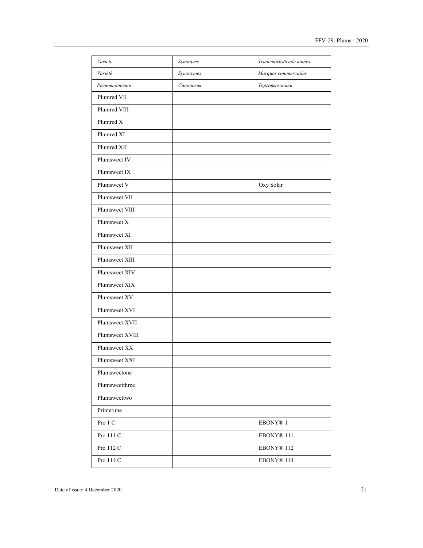| Variety         | Synonyms  | Trademarks/trade names |
|-----------------|-----------|------------------------|
| Variété         | Synonymes | Marques commerciales   |
| Разновидность   | Синонимы  | Торговые знаки         |
| Plumred VII     |           |                        |
| Plumred VIII    |           |                        |
| Plumred X       |           |                        |
| Plumred XI      |           |                        |
| Plumred XII     |           |                        |
| Plumsweet IV    |           |                        |
| Plumsweet IX    |           |                        |
| Plumsweet V     |           | Oxy Solar              |
| Plumsweet VII   |           |                        |
| Plumsweet VIII  |           |                        |
| Plumsweet X     |           |                        |
| Plumsweet XI    |           |                        |
| Plumsweet XII   |           |                        |
| Plumsweet XIII  |           |                        |
| Plumsweet XIV   |           |                        |
| Plumsweet XIX   |           |                        |
| Plumsweet XV    |           |                        |
| Plumsweet XVI   |           |                        |
| Plumsweet XVII  |           |                        |
| Plumsweet XVIII |           |                        |
| Plumsweet XX    |           |                        |
| Plumsweet XXI   |           |                        |
| Plumsweetone    |           |                        |
| Plumsweetthree  |           |                        |
| Plumsweettwo    |           |                        |
| Primetime       |           |                        |
| Pro 1 C         |           | EBONY <sup>®</sup> 1   |
| Pro 111 C       |           | EBONY® 111             |
| Pro 112 C       |           | EBONY® 112             |
| Pro 114 C       |           | EBONY® 114             |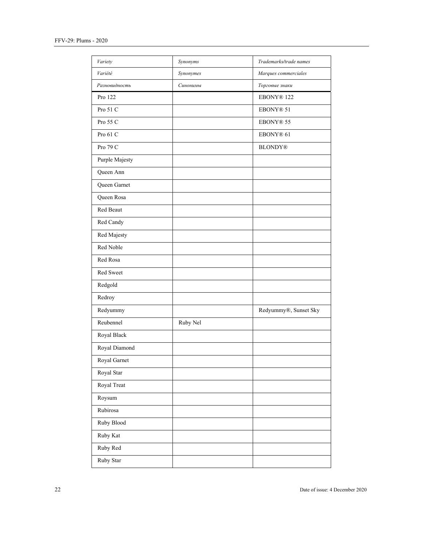| Variety        | Synonyms  | Trademarks/trade names |
|----------------|-----------|------------------------|
| Variété        | Synonymes | Marques commerciales   |
| Разновидность  | Синонимы  | Торговые знаки         |
| Pro 122        |           | EBONY® 122             |
| Pro 51 C       |           | EBONY® 51              |
| Pro 55 C       |           | EBONY® 55              |
| Pro 61 C       |           | EBONY® 61              |
| Pro 79 C       |           | <b>BLONDY®</b>         |
| Purple Majesty |           |                        |
| Queen Ann      |           |                        |
| Queen Garnet   |           |                        |
| Queen Rosa     |           |                        |
| Red Beaut      |           |                        |
| Red Candy      |           |                        |
| Red Majesty    |           |                        |
| Red Noble      |           |                        |
| Red Rosa       |           |                        |
| Red Sweet      |           |                        |
| Redgold        |           |                        |
| Redroy         |           |                        |
| Redyummy       |           | Redyummy®, Sunset Sky  |
| Reubennel      | Ruby Nel  |                        |
| Royal Black    |           |                        |
| Royal Diamond  |           |                        |
| Royal Garnet   |           |                        |
| Royal Star     |           |                        |
| Royal Treat    |           |                        |
| Roysum         |           |                        |
| Rubirosa       |           |                        |
| Ruby Blood     |           |                        |
| Ruby Kat       |           |                        |
| Ruby Red       |           |                        |
| Ruby Star      |           |                        |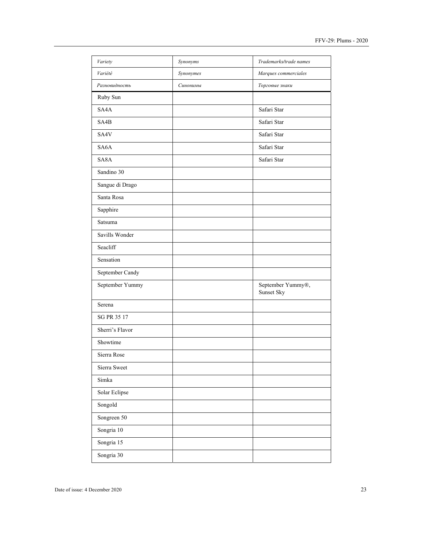| Variety           | Synonyms  | Trademarks/trade names          |
|-------------------|-----------|---------------------------------|
| Variété           | Synonymes | Marques commerciales            |
| Разновидность     | Синонимы  | Торговые знаки                  |
| Ruby Sun          |           |                                 |
| SA4A              |           | Safari Star                     |
| SA4B              |           | Safari Star                     |
| SA4V              |           | Safari Star                     |
| SA <sub>6</sub> A |           | Safari Star                     |
| SA <sub>8</sub> A |           | Safari Star                     |
| Sandino 30        |           |                                 |
| Sangue di Drago   |           |                                 |
| Santa Rosa        |           |                                 |
| Sapphire          |           |                                 |
| Satsuma           |           |                                 |
| Savills Wonder    |           |                                 |
| Seacliff          |           |                                 |
| Sensation         |           |                                 |
| September Candy   |           |                                 |
| September Yummy   |           | September Yummy®,<br>Sunset Sky |
| Serena            |           |                                 |
| SG PR 35 17       |           |                                 |
| Sherri's Flavor   |           |                                 |
| Showtime          |           |                                 |
| Sierra Rose       |           |                                 |
| Sierra Sweet      |           |                                 |
| Simka             |           |                                 |
| Solar Eclipse     |           |                                 |
| Songold           |           |                                 |
| Songreen 50       |           |                                 |
| Songria 10        |           |                                 |
| Songria 15        |           |                                 |
| Songria 30        |           |                                 |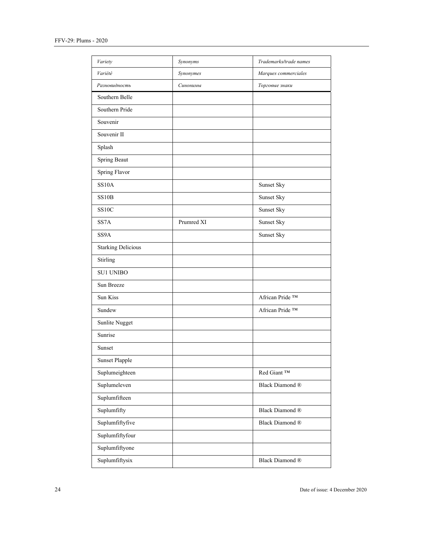| Variety                   | Synonyms   | Trademarks/trade names |
|---------------------------|------------|------------------------|
| Variété                   | Synonymes  | Marques commerciales   |
| Разновидность             | Синонимы   | Торговые знаки         |
| Southern Belle            |            |                        |
| Southern Pride            |            |                        |
| Souvenir                  |            |                        |
| Souvenir II               |            |                        |
| Splash                    |            |                        |
| Spring Beaut              |            |                        |
| Spring Flavor             |            |                        |
| <b>SS10A</b>              |            | Sunset Sky             |
| <b>SS10B</b>              |            | Sunset Sky             |
| SS <sub>10</sub> C        |            | Sunset Sky             |
| SS <sub>7</sub> A         | Prumred XI | Sunset Sky             |
| SS <sub>9</sub> A         |            | Sunset Sky             |
| <b>Starking Delicious</b> |            |                        |
| Stirling                  |            |                        |
| <b>SU1 UNIBO</b>          |            |                        |
| Sun Breeze                |            |                        |
| Sun Kiss                  |            | African Pride ™        |
| Sundew                    |            | African Pride ™        |
| Sunlite Nugget            |            |                        |
| Sunrise                   |            |                        |
| Sunset                    |            |                        |
| <b>Sunset Plapple</b>     |            |                        |
| Suplumeighteen            |            | Red Giant ™            |
| Suplumeleven              |            | Black Diamond ®        |
| Suplumfifteen             |            |                        |
| Suplumfifty               |            | Black Diamond ®        |
| Suplumfiftyfive           |            | Black Diamond ®        |
| Suplumfiftyfour           |            |                        |
| Suplumfiftyone            |            |                        |
| Suplumfiftysix            |            | Black Diamond ®        |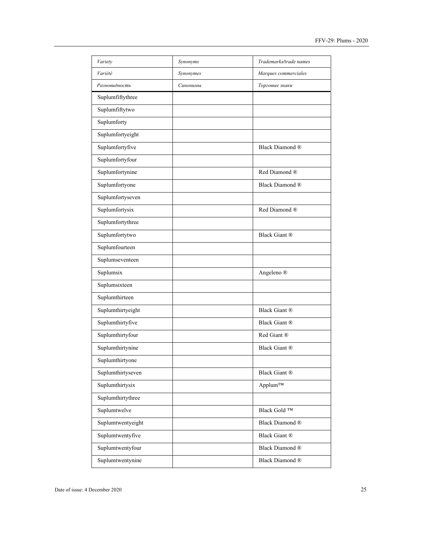| Variety           | Synonyms  | Trademarks/trade names    |
|-------------------|-----------|---------------------------|
| Variété           | Synonymes | Marques commerciales      |
| Разновидность     | Синонимы  | Торговые знаки            |
| Suplumfiftythree  |           |                           |
| Suplumfiftytwo    |           |                           |
| Suplumforty       |           |                           |
| Suplumfortyeight  |           |                           |
| Suplumfortyfive   |           | Black Diamond ®           |
| Suplumfortyfour   |           |                           |
| Suplumfortynine   |           | Red Diamond ®             |
| Suplumfortyone    |           | Black Diamond ®           |
| Suplumfortyseven  |           |                           |
| Suplumfortysix    |           | Red Diamond ®             |
| Suplumfortythree  |           |                           |
| Suplumfortytwo    |           | Black Giant ®             |
| Suplumfourteen    |           |                           |
| Suplumseventeen   |           |                           |
| Suplumsix         |           | Angeleno ®                |
| Suplumsixteen     |           |                           |
| Suplumthirteen    |           |                           |
| Suplumthirtyeight |           | Black Giant ®             |
| Suplumthirtyfive  |           | Black Giant ®             |
| Suplumthirtyfour  |           | Red Giant ®               |
| Suplumthirtynine  |           | Black Giant ®             |
| Suplumthirtyone   |           |                           |
| Suplumthirtyseven |           | Black Giant ®             |
| Suplumthirtysix   |           | Applum™                   |
| Suplumthirtythree |           |                           |
| Suplumtwelve      |           | Black Gold ™              |
| Suplumtwentyeight |           | Black Diamond ®           |
| Suplumtwentyfive  |           | Black Giant ®             |
| Suplumtwentyfour  |           | Black Diamond ®           |
| Suplumtwentynine  |           | Black Diamond $\circledR$ |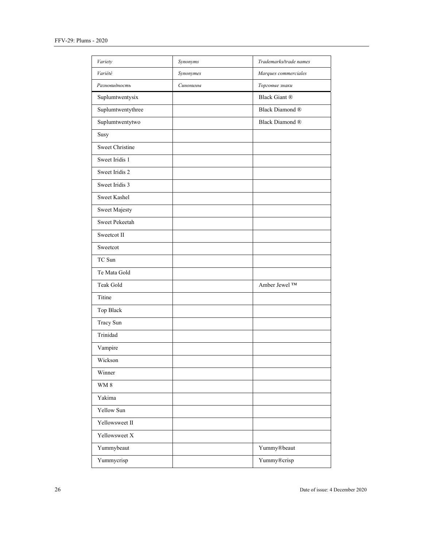| Variety                | Synonyms  | Trademarks/trade names |
|------------------------|-----------|------------------------|
| Variété                | Synonymes | Marques commerciales   |
| Разновидность          | Синонимы  | Торговые знаки         |
| Suplumtwentysix        |           | <b>Black Giant ®</b>   |
| Suplumtwentythree      |           | Black Diamond ®        |
| Suplumtwentytwo        |           | Black Diamond ®        |
| Susy                   |           |                        |
| <b>Sweet Christine</b> |           |                        |
| Sweet Iridis 1         |           |                        |
| Sweet Iridis 2         |           |                        |
| Sweet Iridis 3         |           |                        |
| Sweet Kashel           |           |                        |
| Sweet Majesty          |           |                        |
| Sweet Pekeetah         |           |                        |
| Sweetcot II            |           |                        |
| Sweetcot               |           |                        |
| TC Sun                 |           |                        |
| Te Mata Gold           |           |                        |
| Teak Gold              |           | Amber Jewel ™          |
| Titine                 |           |                        |
| Top Black              |           |                        |
| Tracy Sun              |           |                        |
| Trinidad               |           |                        |
| Vampire                |           |                        |
| Wickson                |           |                        |
| Winner                 |           |                        |
| $\rm WM$ 8             |           |                        |
| Yakima                 |           |                        |
| Yellow Sun             |           |                        |
| Yellowsweet II         |           |                        |
| Yellowsweet X          |           |                        |
| Yummybeaut             |           | Yummy®beaut            |
| Yummycrisp             |           | Yummy®crisp            |